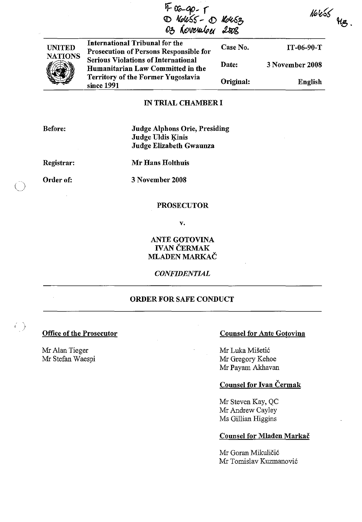|                                 | VI-06-90-1<br>D Nouss - D Nousz<br>03 November 2008                                                                                                                                                                    |           |                 |  |
|---------------------------------|------------------------------------------------------------------------------------------------------------------------------------------------------------------------------------------------------------------------|-----------|-----------------|--|
| <b>UNITED</b><br><b>NATIONS</b> | International Tribunal for the<br><b>Prosecution of Persons Responsible for</b><br><b>Serious Violations of International</b><br>Humanitarian Law Committed in the<br>Territory of the Former Yugoslavia<br>since 1991 | Case No.  | $IT-06-90-T$    |  |
|                                 |                                                                                                                                                                                                                        | Date:     | 3 November 2008 |  |
|                                 |                                                                                                                                                                                                                        | Original: | <b>English</b>  |  |

#### IN TRIAL CHAMBER I

Before:

Judge Alphons Orie, Presiding Judge Uldis Kinis Judge Elizabeth Gwaunza

Registrar:

Mr Hans HoIthuis

Order of:

 $\bigcirc$ 

 $\left(\frac{1}{2}\right)$ 

3 November 2008

#### PROSECUTOR

v.

ANTE GOTOVINA IVAN ČERMAK MLADEN MARKAC

*CONFIDENTIAL* 

# ORDER FOR SAFE CONDUCT

Mr Alan Tieger Mr Stefan Waespi

### Office of the Prosecutor Counsel for Ante Gotovina

Mr Luka Mišetić Mr Gregory Kehoe Mr Payam Akhavan

# Counsel for Ivan Cermak

Mr Steven Kay, QC Mr Andrew Cayley Ms Gillian Higgins

## Counsel for Mladen Markac

Mr Goran Mikuličić Mr Tomislav Kuzmanovi6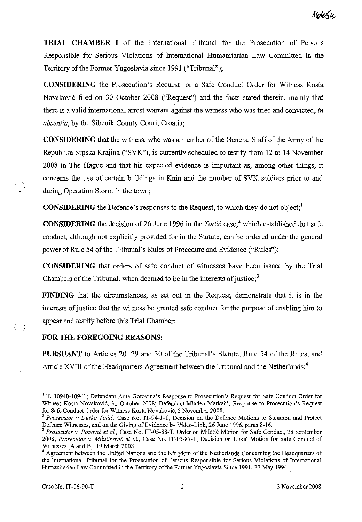**TRIAL CHAMBER I** of the International Tribunal for the Prosecution of Persons Responsible for Serious Violations of International Humanitarian Law Committed in the Territory of the Former Yugoslavia since 1991 ("Tribunal");

**CONSIDERING** the Prosecution's Request for a Safe Conduct Order for Witness Kosta Novakovic filed on 30 October 2008 ("Request") and the facts stated therein, mainly that there is a valid international arrest warrant against the witness who was tried and convicted, *in absentia,* by the Sibenik County Court, Croatia;

**CONSIDERING** that the witness, who was a member of the General Staff of the Army of the Republika Srpska Krajina ("SVK"), is currently scheduled to testify from 12 to 14 November 2008 in The Hague and that his expected evidence is important as, among other things, it concerns the use of certain buildings in Knin and the number of SVK soldiers prior to and during Operation Storm in the town;

**CONSIDERING** the Defence's responses to the Request, to which they do not object;<sup>1</sup>

**CONSIDERING** the decision of 26 June 1996 in the *Tadić* case,<sup>2</sup> which established that safe conduct, although not explicitly provided for in the Statute, can be ordered under the general power of Rule 54 of the Tribunal's Rules of Procedure and Evidence ("Rules");

**CONSIDERING** that orders of safe conduct of witnesses have been issued by the Trial Chambers of the Tribunal, when deemed to be in the interests of justice;<sup>3</sup>

**FINDING** that the circumstances, as set out in the Request, demonstrate that it is in the interests of justice that the witness be granted safe conduct for the purpose of enabling him to appear and testify before this Trial Chamber;

#### **FOR THE FOREGOING REASONS:**

**PURSUANT** to Articles 20, 29 and 30 of the Tribunal's Statute, Rule 54 of the Rules, and Article XVIII of the Headquarters Agreement between the Tribunal and the Netherlands;<sup>4</sup>

 $\binom{1}{2}$ 

<sup>&</sup>lt;sup>1</sup> T. 10940-10941; Defendant Ante Gotovina's Response to Prosecution's Request for Safe Conduct Order for Witness Kosta Novakovic, 31 October 2008; Defendant Mladen Markac's Response to Prosecution'S Request for Safe Conduct Order for Witness Kosta Novakovic, 3 November 2008.

<sup>2</sup>*Prosecutor* v *Dusko Tadic,* Case No. IT -94-1-T, Decision on the Defence Motions to Summon and Protect Defence Witnesses, and on the Giving of Evidence by Video-Link, 26 June 1996, paras 8-16.

<sup>&</sup>lt;sup>3</sup> Prosecutor v. Popović et al., Case No. IT-05-88-T, Order on Miletić Motion for Safe Conduct, 28 September 2008; *Prosecutor* v. *Milutinovic et aI.,* Case No. IT-05-87-T, Decision on Lukic Motion for Safe Conduct of Witnesses [A and B], 19 March 2008.

<sup>&</sup>lt;sup>4</sup> Agreement between the United Nations and the Kingdom of the Netherlands Concerning the Headquarters of the International Tribunal for the Prosecution of Persons Responsible for Serious Violations of International Humanitarian Law Committed in the Territory of the Former Yugoslavia Since 1991,27 May 1994.